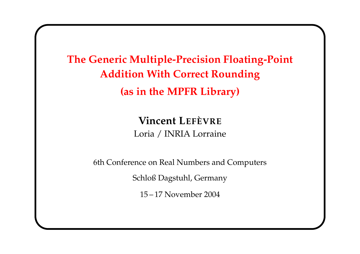The Generic Multiple-Precision Floating-Point Addition With Correct Rounding (as in the MPFR Library)

> Vincent LEFÈVRE Loria / INRIA Lorraine

6th Conference on Real Numbers and Computers

Schloß Dagstuhl, Germany

15 – 17 November 2004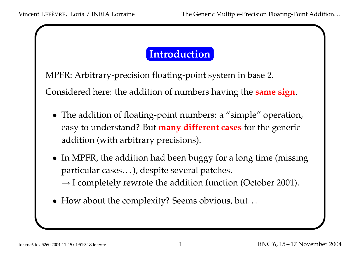#### Introduction

MPFR: Arbitrary-precision floating-point system in base 2.

Considered here: the addition of numbers having the **same sign**.

- The addition of floating-point numbers: <sup>a</sup> "simple" operation, easy to understand? But **many different cases** for the generic addition (with arbitrary precisions).
- In MPFR, the addition had been buggy for a long time (missing particular cases. . . ), despite several patches.

 $\rightarrow$  I completely rewrote the addition function (October 2001).

• How about the complexity? Seems obvious, but...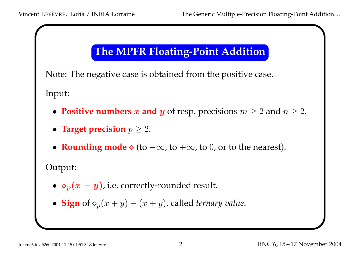## The MPFR Floating-Point Addition

Note: The negative case is obtained from the positive case.

Input:

- Positive numbers x and y of resp. precisions  $m \ge 2$  and  $n \ge 2$ .
- Target precision  $p \geq 2$ .
- Rounding mode  $\diamond$  (to  $-\infty$ , to  $+\infty$ , to 0, or to the nearest).

Output:

- $\diamond_p(x+y)$ , i.e. correctly-rounded result.
- Sign of  $\diamond_p(x+y)-(x+y)$ , called ternary value.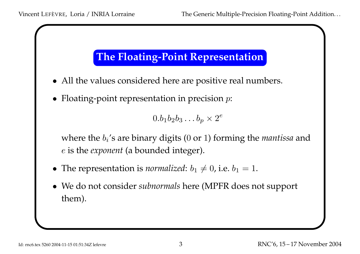## The Floating-Point Representation

- All the values considered here are positive real numbers.
- Floating-point representation in precision  $p$ :

 $0.b_1b_2b_3\ldots b_p\times 2^e$ 

where the  $b_i$ 's are binary digits ( $0$  or  $1$ ) forming the mantissa and <sup>e</sup> is the exponen<sup>t</sup> (a bounded integer).

- The representation is normalized:  $b_1 \neq 0$ , i.e.  $b_1 = 1$ .
- We do not consider *subnormals* here (MPFR does not support them).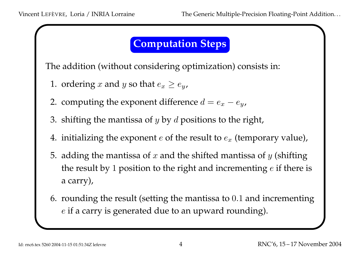#### Computation Steps

The addition (without considering optimization) consists in:

- 1. ordering  $x$  and  $y$  so that  $e_x \geq e_y$ ,
- 2. computing the exponent difference  $d=e_x$  $-e_y$
- 3. shifting the mantissa of  $y$  by  $d$  positions to the right,
- 4. initializing the exponent  $e$  of the result to  $e_x$  (temporary value),
- 5. adding the mantissa of  $x$  and the shifted mantissa of  $y$  (shifting the result by  $1$  position to the right and incrementing  $e$  if there is <sup>a</sup> carry),
- 6. rounding the result (setting the mantissa to <sup>0</sup>.<sup>1</sup> and incrementing <sup>e</sup> if <sup>a</sup> carry is generated due to an upward rounding).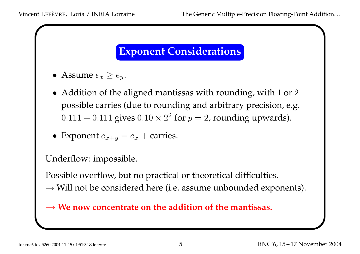## Exponent Considerations

- Assume  $e_x \geq e_y$ .
- $\bullet\,$  Addition of the aligned mantissas with rounding, with  $1$  or  $2$ possible carries (due to rounding and arbitrary precision, e.g.  $0.111 + 0.111$  gives  $0.10 \times 2^2$  for  $p = 2$ , rounding upwards).
- Exponent  $e_{x+y}$  $= e_x +$  carries.

Underflow: impossible.

Possible overflow, but no practical or theoretical difficulties.

 $\rightarrow$  Will not be considered here (i.e. assume unbounded exponents).

 $\rightarrow$  We now concentrate on the addition of the mantissas.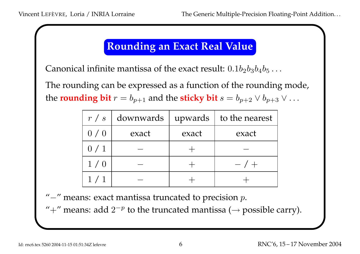#### Rounding an Exact Real Value

Canonical infinite mantissa of the exact result:  $0.1b_2b_3b_4b_5\dots$ 

The rounding can be expressed as <sup>a</sup> function of the rounding mode, the rounding bit  $r=b_{p+1}$  and the sticky bit  $s=b_{p+2} \vee b_{p+3} \vee \ldots$ 

| r/s | downwards | upwards | to the nearest |
|-----|-----------|---------|----------------|
| 0/0 | exact     | exact   | exact          |
| 0/1 |           |         |                |
| 1/0 |           |         | $- / +$        |
| 1/1 |           |         |                |

" $-$ " means: exact mantissa truncated to precision  $p.$ 

"+" means: add  $2^{-p}$  to the truncated mantissa ( $\rightarrow$  possible carry).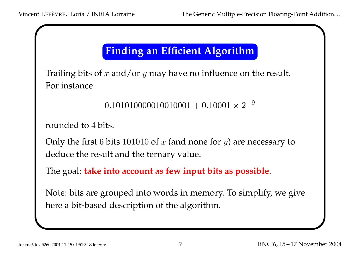## Finding an Efficient Algorithm

Trailing bits of  $x$  and/or  $y$  may have no influence on the result. For instance:

```
0.101010000010010001+0.10001\times 2^{-9}
```

```
rounded to
4 bits.
```
Only the first  $6$  bits  $101010$  of  $x$  (and none for  $y$ ) are necessary to deduce the result and the ternary value.

The goal: take into account as few input bits as possible.

Note: bits are grouped into words in memory. To simplify, we give here <sup>a</sup> bit-based description of the algorithm.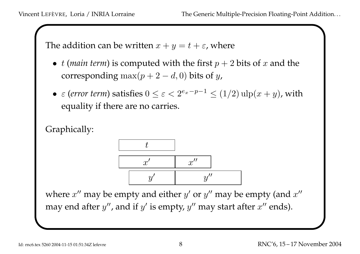The addition can be written  $x+y=t+\varepsilon$ , where

- t (main term) is computed with the first  $p+2$  bits of  $x$  and the corresponding  $\max(p+2-d,0)$  bits of  $y$ ,
- $\varepsilon$  (error term) satisfies  $0 \le \varepsilon < 2^{e_x-p-1} \le (1/2) \operatorname{ulp}(x+y)$ , with equality if there are no carries.





where  $x^{\prime\prime}$  may be empty and either  $y^{\prime}$  or  $y^{\prime\prime}$  may be empty (and  $x^{\prime\prime}$ may end after  $y^{\prime\prime}$ , and if  $y^{\prime}$  is empty,  $y^{\prime\prime}$  may start after  $x^{\prime\prime}$  ends).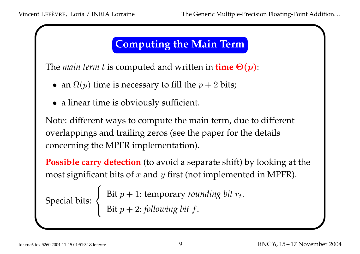#### Computing the Main Term

The main term t is computed and written in  $time\ \Theta(p)$ :

- an  $\Omega(p)$  time is necessary to fill the  $p+2$  bits;
- a linear time is obviously sufficient.

Note: different ways to compute the main term, due to different overlappings and trailing zeros (see the paper for the details concerning the MPFR implementation).

**Possible carry detection** (to avoid a separate shift) by looking at the most significant bits of  $x$  and  $y$  first (not implemented in MPFR).  $\sqrt{ }$ 

Special bits:  $\left\{\right.$  $\begin{matrix} \end{matrix}$ 

Bit  $p+1$ : temporary *rounding bit*  $r_t.$ Bit  $p+2$ : following bit  $f.$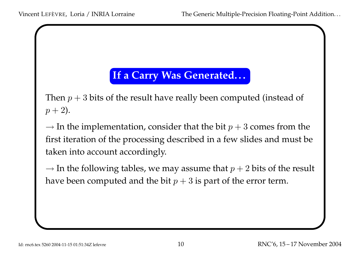#### If a Carry Was Generated...

Then  $p+3$  bits of the result have really been computed (instead of  $p + 2$ ).

 $\rightarrow$  In the implementation, consider that the bit  $p + 3$  comes from the first iteration of the processing described in <sup>a</sup> few slides and must be taken into account accordingly.

 $\rightarrow$  In the following tables, we may assume that  $p + 2$  bits of the result have been computed and the bit  $p+3$  is part of the error term.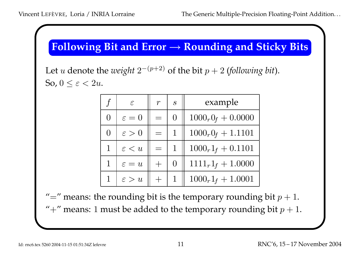# Following Bit and Error <sup>→</sup> Rounding and Sticky Bits

Let  $u$  denote the  $weight\ 2^{-(p+2)}$  of the bit  $p+2$  (following bit). So,  $0 \leq \varepsilon < 2u$ .

| $\int$      | $\epsilon$        | $\boldsymbol{r}$ | $\overline{S}$ | example              |
|-------------|-------------------|------------------|----------------|----------------------|
|             | $\varepsilon=0$   |                  |                | $1000_r0_f + 0.0000$ |
|             | $\varepsilon > 0$ |                  |                | $1000_r0_f + 1.1101$ |
| $\mathbf 1$ | $\varepsilon < u$ |                  |                | $1000_r1_f + 0.1101$ |
|             | $\varepsilon = u$ |                  | $\Omega$       | $1111_r1_f + 1.0000$ |
|             | $\varepsilon > u$ |                  |                | $1000_r1_f + 1.0001$ |

"=" means: the rounding bit is the temporary rounding bit  $p+1.$ "+" means: 1 must be added to the temporary rounding bit  $p+1.$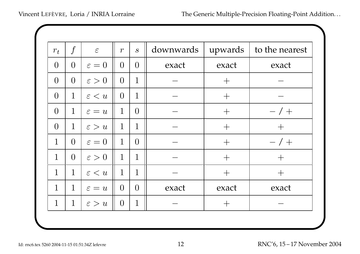| $r_t$          | $\int$         | $\epsilon$        | $\boldsymbol{r}$ | $\mathcal{S}$  | downwards | upwards | to the nearest |
|----------------|----------------|-------------------|------------------|----------------|-----------|---------|----------------|
| $\overline{0}$ | $\overline{0}$ | $\varepsilon=0$   | $\overline{0}$   | $\overline{0}$ | exact     | exact   | exact          |
| $\overline{0}$ | $\overline{0}$ | $\varepsilon > 0$ | $\overline{0}$   | $\mathbf 1$    |           | $+$     |                |
| $\overline{0}$ | $\mathbf{1}$   | $\varepsilon < u$ | $\overline{0}$   | $\mathbf{1}$   |           | $+$     |                |
| $\overline{0}$ | $\mathbf{1}$   | $\varepsilon = u$ | $\mathbf{1}$     | $\overline{0}$ |           | $+$     | $- / +$        |
| $\overline{0}$ | $\mathbf{1}$   | $\varepsilon > u$ | $\mathbf{1}$     | $\mathbf{1}$   |           | $+$     | $+$            |
| $\mathbf{1}$   | $\overline{0}$ | $\varepsilon = 0$ | $\mathbf{1}$     | $\overline{0}$ |           | $+$     | $- / +$        |
| $\mathbf{1}$   | $\overline{0}$ | $\varepsilon > 0$ | $\mathbf{1}$     | $\mathbf{1}$   |           | $+$     | $+$            |
| $\mathbf 1$    | $\mathbf{1}$   | $\varepsilon < u$ | $\mathbf 1$      | $\mathbf 1$    |           | $+$     | $+$            |
| $\mathbf{1}$   | $\mathbf{1}$   | $\varepsilon = u$ | $\overline{0}$   | $\overline{0}$ | exact     | exact   | exact          |
| $\mathbf{1}$   | $\mathbf{1}$   | $\varepsilon > u$ | $\overline{0}$   | 1              |           | $+$     |                |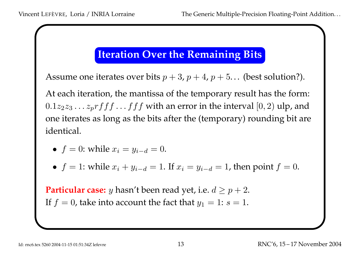#### Iteration Over the Remaining Bits

Assume one iterates over bits  $p+3$ ,  $p+4$ ,  $p+5\ldots$  (best solution?).

At each iteration, the mantissa of the temporary result has the form:  $0.1z_2z_3\ldots z_p rff f\ldots ff f$  with an error in the interval  $[0,2)$  ulp, and one iterates as long as the bits after the (temporary) rounding bit are identical.

- $f = 0$ : while  $x_i = y_{i-d} = 0$ .
- $f = 1$ : while  $x_i + y_{i-d} = 1$ . If  $x_i = y_{i-d} = 1$ , then point  $f = 0$ .

**Particular case:**  $y$  hasn't been read yet, i.e.  $d \geq p+2.$ If  $f=0$ , take into account the fact that  $y_1=1\text{: }s=1.$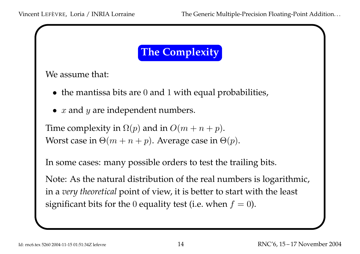## The Complexity

We assume that:

- the mantissa bits are 0 and <sup>1</sup> with equal probabilities,
- $\bullet$   $\ x$  and  $\ y$  are independent numbers.

Time complexity in  $\Omega(p)$  and in  $O(m + n + p)$ . Worst case in  $\Theta(m+n+p)$ . Average case in  $\Theta(p)$ .

In some cases: many possible orders to test the trailing bits.

Note: As the natural distribution of the real numbers is logarithmic, in <sup>a</sup> very theoretical point of view, it is better to start with the least significant bits for the  $0$  equality test (i.e. when  $f=0).$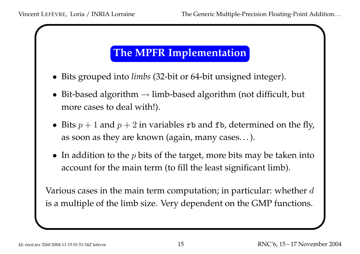## The MPFR Implementation

- Bits grouped into *limbs* (32-bit or 64-bit unsigned integer).
- Bit-based algorithm  $\rightarrow$  limb-based algorithm (not difficult, but more cases to deal with!).
- Bits  $p+1$  and  $p+2$  in variables rb and fb, determined on the fly, as soon as they are known (again, many cases. . . ).
- In addition to the  $p$  bits of the target, more bits may be taken into account for the main term (to fill the least significant limb).

Various cases in the main term computation; in particular: whether  $d$ is <sup>a</sup> multiple of the limb size. Very dependent on the GMP functions.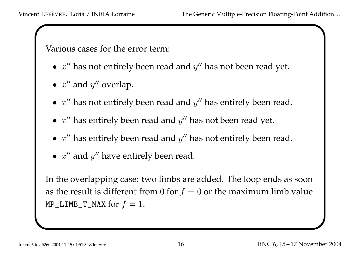Various cases for the error term:

- $x''$  has not entirely been read and  $y''$  has not been read yet.
- $x''$  and  $y''$  overlap.
- $x''$  has not entirely been read and  $y''$  has entirely been read.
- $x''$  has entirely been read and  $y''$  has not been read yet.
- $x''$  has entirely been read and  $y''$  has not entirely been read.
- $x''$  and  $y''$  have entirely been read.

In the overlapping case: two limbs are added. The loop ends as soon as the result is different from  $0$  for  $f = 0$  or the maximum limb value <code>MP\_LIMB\_T\_MAX</code> for  $f=1.$